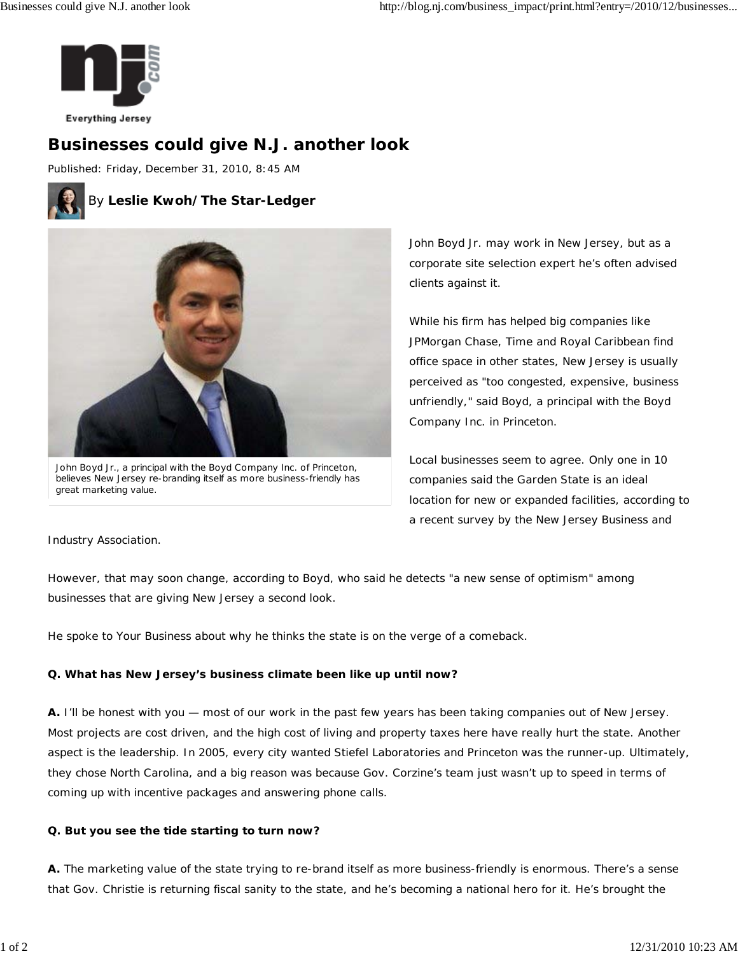

# **Businesses could give N.J. another look**

Published: Friday, December 31, 2010, 8:45 AM



### By **Leslie Kwoh/The Star-Ledger**



John Boyd Jr., a principal with the Boyd Company Inc. of Princeton, believes New Jersey re-branding itself as more business-friendly has great marketing value.

John Boyd Jr. may work in New Jersey, but as a corporate site selection expert he's often advised clients against it.

While his firm has helped big companies like JPMorgan Chase, Time and Royal Caribbean find office space in other states, New Jersey is usually perceived as "too congested, expensive, business unfriendly," said Boyd, a principal with the Boyd Company Inc. in Princeton.

Local businesses seem to agree. Only one in 10 companies said the Garden State is an ideal location for new or expanded facilities, according to a recent survey by the New Jersey Business and

Industry Association.

However, that may soon change, according to Boyd, who said he detects "a new sense of optimism" among businesses that are giving New Jersey a second look.

He spoke to Your Business about why he thinks the state is on the verge of a comeback.

#### **Q. What has New Jersey's business climate been like up until now?**

**A.** I'll be honest with you — most of our work in the past few years has been taking companies out of New Jersey. Most projects are cost driven, and the high cost of living and property taxes here have really hurt the state. Another aspect is the leadership. In 2005, every city wanted Stiefel Laboratories and Princeton was the runner-up. Ultimately, they chose North Carolina, and a big reason was because Gov. Corzine's team just wasn't up to speed in terms of coming up with incentive packages and answering phone calls.

#### **Q. But you see the tide starting to turn now?**

**A.** The marketing value of the state trying to re-brand itself as more business-friendly is enormous. There's a sense that Gov. Christie is returning fiscal sanity to the state, and he's becoming a national hero for it. He's brought the